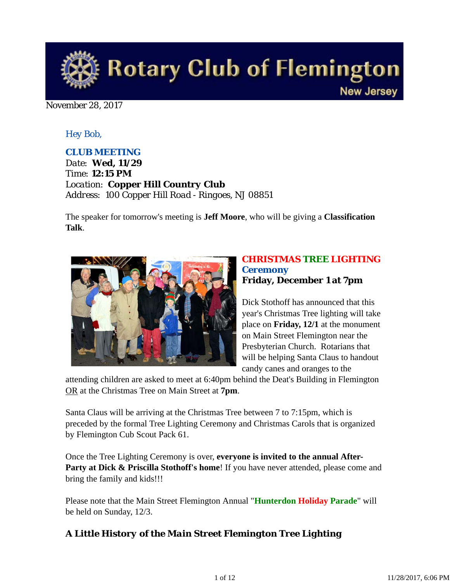

#### November 28, 2017

### *Hey Bob,*

### *CLUB MEETING*

*Date: Wed, 11/29 Time: 12:15 PM Location: Copper Hill Country Club Address: 100 Copper Hill Road - Ringoes, NJ 08851*

The speaker for tomorrow's meeting is **Jeff Moore**, who will be giving a **Classification Talk**.



### *CHRISTMAS TREE LIGHTING Ceremony* **Friday, December 1 at 7pm**

Dick Stothoff has announced that this year's Christmas Tree lighting will take place on **Friday, 12/1** at the monument on Main Street Flemington near the Presbyterian Church. Rotarians that will be helping Santa Claus to handout candy canes and oranges to the

attending children are asked to meet at 6:40pm behind the Deat's Building in Flemington OR at the Christmas Tree on Main Street at **7pm**.

Santa Claus will be arriving at the Christmas Tree between 7 to 7:15pm, which is preceded by the formal Tree Lighting Ceremony and Christmas Carols that is organized by Flemington Cub Scout Pack 61.

Once the Tree Lighting Ceremony is over, **everyone is invited to the annual After-Party at Dick & Priscilla Stothoff's home!** If you have never attended, please come and bring the family and kids!!!

Please note that the Main Street Flemington Annual "**Hunterdon Holiday Parade**" will be held on Sunday, 12/3.

# *A Little History of the Main Street Flemington Tree Lighting*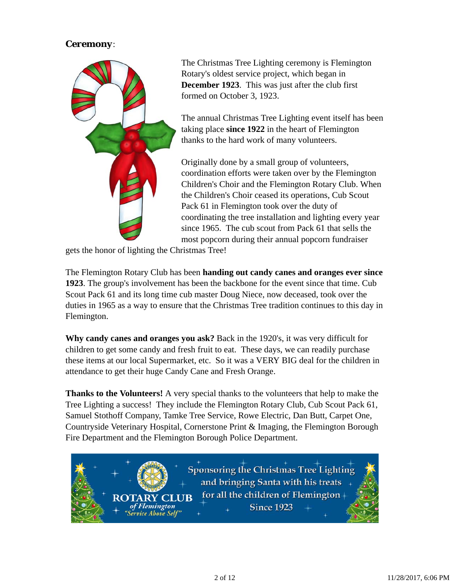# *Ceremony*:



The Christmas Tree Lighting ceremony is Flemington Rotary's oldest service project, which began in **December 1923**. This was just after the club first formed on October 3, 1923.

The annual Christmas Tree Lighting event itself has been taking place **since 1922** in the heart of Flemington thanks to the hard work of many volunteers.

Originally done by a small group of volunteers, coordination efforts were taken over by the Flemington Children's Choir and the Flemington Rotary Club. When the Children's Choir ceased its operations, Cub Scout Pack 61 in Flemington took over the duty of coordinating the tree installation and lighting every year since 1965. The cub scout from Pack 61 that sells the most popcorn during their annual popcorn fundraiser

gets the honor of lighting the Christmas Tree!

ARY

The Flemington Rotary Club has been **handing out candy canes and oranges ever since 1923**. The group's involvement has been the backbone for the event since that time. Cub Scout Pack 61 and its long time cub master Doug Niece, now deceased, took over the duties in 1965 as a way to ensure that the Christmas Tree tradition continues to this day in Flemington.

**Why candy canes and oranges you ask?** Back in the 1920's, it was very difficult for children to get some candy and fresh fruit to eat. These days, we can readily purchase these items at our local Supermarket, etc. So it was a VERY BIG deal for the children in attendance to get their huge Candy Cane and Fresh Orange.

**Thanks to the Volunteers!** A very special thanks to the volunteers that help to make the Tree Lighting a success! They include the Flemington Rotary Club, Cub Scout Pack 61, Samuel Stothoff Company, Tamke Tree Service, Rowe Electric, Dan Butt, Carpet One, Countryside Veterinary Hospital, Cornerstone Print & Imaging, the Flemington Borough Fire Department and the Flemington Borough Police Department.

> **Sponsoring the Christmas Tree Lighting** and bringing Santa with his treats for all the children of Flemingtonof Flemington **Since 1923** 'Service Above Self"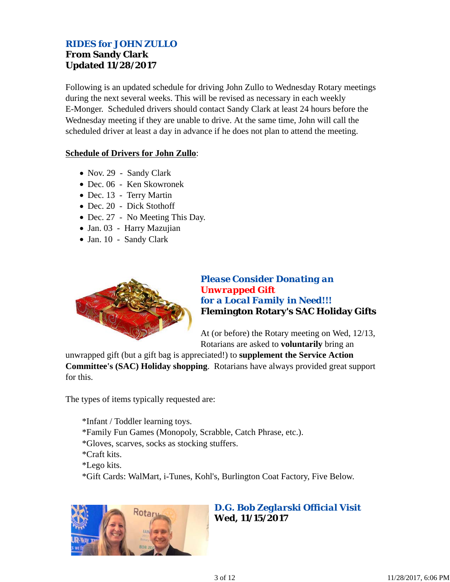# *RIDES for JOHN ZULLO* **From Sandy Clark Updated 11/28/2017**

Following is an updated schedule for driving John Zullo to Wednesday Rotary meetings during the next several weeks. This will be revised as necessary in each weekly E-Monger. Scheduled drivers should contact Sandy Clark at least 24 hours before the Wednesday meeting if they are unable to drive. At the same time, John will call the scheduled driver at least a day in advance if he does not plan to attend the meeting.

#### **Schedule of Drivers for John Zullo**:

- Nov. 29 Sandy Clark
- Dec. 06 Ken Skowronek
- Dec. 13 Terry Martin
- Dec. 20 Dick Stothoff
- Dec. 27 No Meeting This Day.
- Jan. 03 Harry Mazujian
- Jan. 10 Sandy Clark



# *Please Consider Donating an Unwrapped Gift for a Local Family in Need!!!* **Flemington Rotary's SAC Holiday Gifts**

At (or before) the Rotary meeting on Wed, 12/13, Rotarians are asked to **voluntarily** bring an

unwrapped gift (but a gift bag is appreciated!) to **supplement the Service Action Committee's (SAC) Holiday shopping**. Rotarians have always provided great support for this.

The types of items typically requested are:

\*Infant / Toddler learning toys. \*Family Fun Games (Monopoly, Scrabble, Catch Phrase, etc.). \*Gloves, scarves, socks as stocking stuffers. \*Craft kits. \*Lego kits. \*Gift Cards: WalMart, i-Tunes, Kohl's, Burlington Coat Factory, Five Below.



*D.G. Bob Zeglarski Official Visit* **Wed, 11/15/2017**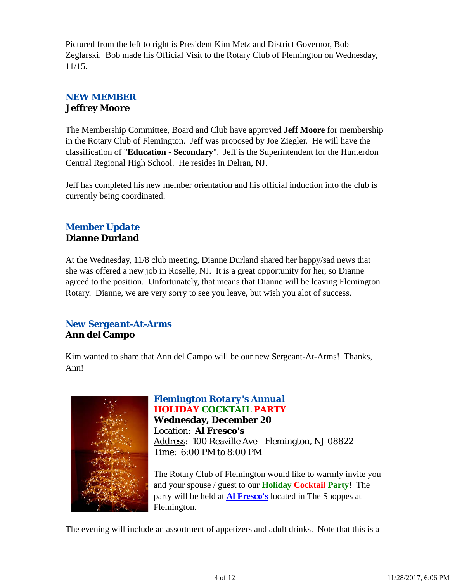Pictured from the left to right is President Kim Metz and District Governor, Bob Zeglarski. Bob made his Official Visit to the Rotary Club of Flemington on Wednesday, 11/15.

# *NEW MEMBER* **Jeffrey Moore**

The Membership Committee, Board and Club have approved **Jeff Moore** for membership in the Rotary Club of Flemington. Jeff was proposed by Joe Ziegler. He will have the classification of "**Education - Secondary**". Jeff is the Superintendent for the Hunterdon Central Regional High School. He resides in Delran, NJ.

Jeff has completed his new member orientation and his official induction into the club is currently being coordinated.

# *Member Update* **Dianne Durland**

At the Wednesday, 11/8 club meeting, Dianne Durland shared her happy/sad news that she was offered a new job in Roselle, NJ. It is a great opportunity for her, so Dianne agreed to the position. Unfortunately, that means that Dianne will be leaving Flemington Rotary. Dianne, we are very sorry to see you leave, but wish you alot of success.

# *New Sergeant-At-Arms* **Ann del Campo**

Kim wanted to share that Ann del Campo will be our new Sergeant-At-Arms! Thanks, Ann!



# *Flemington Rotary's Annual HOLIDAY COCKTAIL PARTY*

**Wednesday, December 20** Location: **Al Fresco's** Address: 100 Reaville Ave - Flemington, NJ 08822 Time: 6:00 PM to 8:00 PM

The Rotary Club of Flemington would like to warmly invite you and your spouse / guest to our **Holiday Cocktail Party**! The party will be held at **Al Fresco's** located in The Shoppes at Flemington.

The evening will include an assortment of appetizers and adult drinks. Note that this is a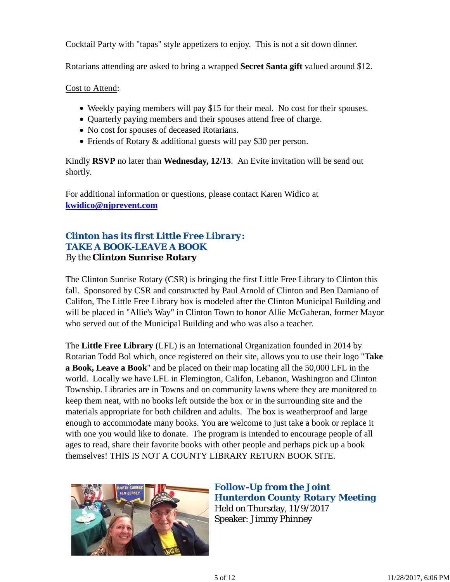Cocktail Party with "tapas" style appetizers to enjoy. This is not a sit down dinner.

Rotarians attending are asked to bring a wrapped **Secret Santa gift** valued around \$12.

Cost to Attend:

- Weekly paying members will pay \$15 for their meal. No cost for their spouses.
- Quarterly paying members and their spouses attend free of charge.
- No cost for spouses of deceased Rotarians.
- Friends of Rotary & additional guests will pay \$30 per person.

Kindly **RSVP** no later than **Wednesday, 12/13**. An Evite invitation will be send out shortly.

For additional information or questions, please contact Karen Widico at **kwidico@njprevent.com**

# *Clinton has its first Little Free Library: TAKE A BOOK-LEAVE A BOOK* By the **Clinton Sunrise Rotary**

The Clinton Sunrise Rotary (CSR) is bringing the first Little Free Library to Clinton this fall. Sponsored by CSR and constructed by Paul Arnold of Clinton and Ben Damiano of Califon, The Little Free Library box is modeled after the Clinton Municipal Building and will be placed in "Allie's Way" in Clinton Town to honor Allie McGaheran, former Mayor who served out of the Municipal Building and who was also a teacher.

The **Little Free Library** (LFL) is an International Organization founded in 2014 by Rotarian Todd Bol which, once registered on their site, allows you to use their logo "**Take a Book, Leave a Book**" and be placed on their map locating all the 50,000 LFL in the world. Locally we have LFL in Flemington, Califon, Lebanon, Washington and Clinton Township. Libraries are in Towns and on community lawns where they are monitored to keep them neat, with no books left outside the box or in the surrounding site and the materials appropriate for both children and adults. The box is weatherproof and large enough to accommodate many books. You are welcome to just take a book or replace it with one you would like to donate. The program is intended to encourage people of all ages to read, share their favorite books with other people and perhaps pick up a book themselves! THIS IS NOT A COUNTY LIBRARY RETURN BOOK SITE.



*Follow-Up from the Joint Hunterdon County Rotary Meeting* Held on Thursday, 11/9/2017 Speaker: Jimmy Phinney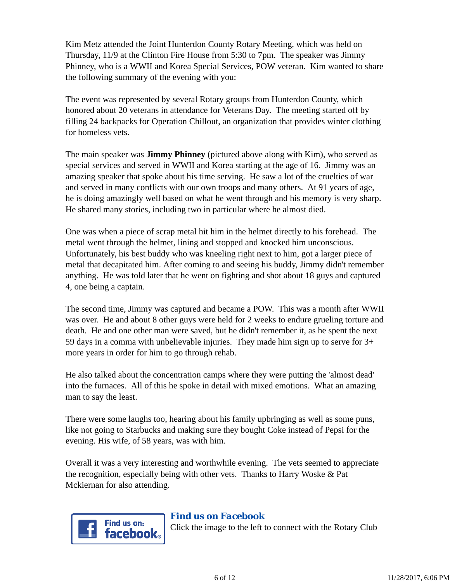Kim Metz attended the Joint Hunterdon County Rotary Meeting, which was held on Thursday, 11/9 at the Clinton Fire House from 5:30 to 7pm. The speaker was Jimmy Phinney, who is a WWII and Korea Special Services, POW veteran. Kim wanted to share the following summary of the evening with you:

The event was represented by several Rotary groups from Hunterdon County, which honored about 20 veterans in attendance for Veterans Day. The meeting started off by filling 24 backpacks for Operation Chillout, an organization that provides winter clothing for homeless vets.

The main speaker was **Jimmy Phinney** (pictured above along with Kim), who served as special services and served in WWII and Korea starting at the age of 16. Jimmy was an amazing speaker that spoke about his time serving. He saw a lot of the cruelties of war and served in many conflicts with our own troops and many others. At 91 years of age, he is doing amazingly well based on what he went through and his memory is very sharp. He shared many stories, including two in particular where he almost died.

One was when a piece of scrap metal hit him in the helmet directly to his forehead. The metal went through the helmet, lining and stopped and knocked him unconscious. Unfortunately, his best buddy who was kneeling right next to him, got a larger piece of metal that decapitated him. After coming to and seeing his buddy, Jimmy didn't remember anything. He was told later that he went on fighting and shot about 18 guys and captured 4, one being a captain.

The second time, Jimmy was captured and became a POW. This was a month after WWII was over. He and about 8 other guys were held for 2 weeks to endure grueling torture and death. He and one other man were saved, but he didn't remember it, as he spent the next 59 days in a comma with unbelievable injuries. They made him sign up to serve for 3+ more years in order for him to go through rehab.

He also talked about the concentration camps where they were putting the 'almost dead' into the furnaces. All of this he spoke in detail with mixed emotions. What an amazing man to say the least.

There were some laughs too, hearing about his family upbringing as well as some puns, like not going to Starbucks and making sure they bought Coke instead of Pepsi for the evening. His wife, of 58 years, was with him.

Overall it was a very interesting and worthwhile evening. The vets seemed to appreciate the recognition, especially being with other vets. Thanks to Harry Woske & Pat Mckiernan for also attending.



# *Find us on Facebook*

Click the image to the left to connect with the Rotary Club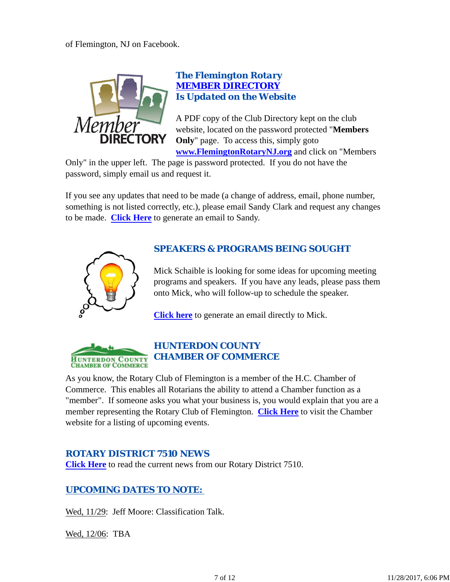

# *The Flemington Rotary MEMBER DIRECTORY Is Updated on the Website*

A PDF copy of the Club Directory kept on the club website, located on the password protected "**Members Only**" page. To access this, simply goto **www.FlemingtonRotaryNJ.org** and click on "Members

Only" in the upper left. The page is password protected. If you do not have the password, simply email us and request it.

If you see any updates that need to be made (a change of address, email, phone number, something is not listed correctly, etc.), please email Sandy Clark and request any changes to be made. **Click Here** to generate an email to Sandy.



# *SPEAKERS & PROGRAMS BEING SOUGHT*

Mick Schaible is looking for some ideas for upcoming meeting programs and speakers. If you have any leads, please pass them onto Mick, who will follow-up to schedule the speaker.

**Click here** to generate an email directly to Mick.



As you know, the Rotary Club of Flemington is a member of the H.C. Chamber of Commerce. This enables all Rotarians the ability to attend a Chamber function as a "member". If someone asks you what your business is, you would explain that you are a member representing the Rotary Club of Flemington. **Click Here** to visit the Chamber website for a listing of upcoming events.

# *ROTARY DISTRICT 7510 NEWS*

**Click Here** to read the current news from our Rotary District 7510.

# *UPCOMING DATES TO NOTE:*

Wed, 11/29: Jeff Moore: Classification Talk.

Wed, 12/06: TBA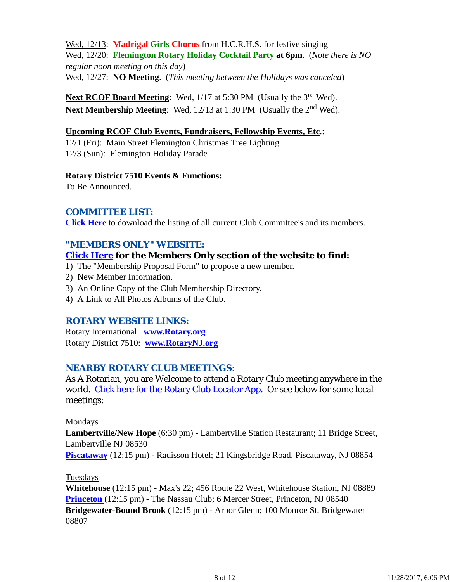Wed, 12/13: **Madrigal Girls Chorus** from H.C.R.H.S. for festive singing Wed, 12/20: **Flemington Rotary Holiday Cocktail Party at 6pm**. (*Note there is NO regular noon meeting on this day*) Wed, 12/27: **NO Meeting**. (*This meeting between the Holidays was canceled*)

**Next RCOF Board Meeting:** Wed, 1/17 at 5:30 PM (Usually the 3<sup>rd</sup> Wed). **Next Membership Meeting:** Wed, 12/13 at 1:30 PM (Usually the 2<sup>nd</sup> Wed).

#### **Upcoming RCOF Club Events, Fundraisers, Fellowship Events, Etc**.:

12/1 (Fri): Main Street Flemington Christmas Tree Lighting 12/3 (Sun): Flemington Holiday Parade

#### **Rotary District 7510 Events & Functions:**

To Be Announced.

# *COMMITTEE LIST:*

**Click Here** to download the listing of all current Club Committee's and its members.

### *"MEMBERS ONLY" WEBSITE:*

### **Click Here for the Members Only section of the website to find:**

- 1) The "Membership Proposal Form" to propose a new member.
- 2) New Member Information.
- 3) An Online Copy of the Club Membership Directory.
- 4) A Link to All Photos Albums of the Club.

# *ROTARY WEBSITE LINKS:*

Rotary International: **www.Rotary.org** Rotary District 7510: **www.RotaryNJ.org**

# *NEARBY ROTARY CLUB MEETINGS:*

As A Rotarian, you are Welcome to attend a Rotary Club meeting anywhere in the world. Click here for the Rotary Club Locator App. Or see below for some local meetings:

#### Mondays

**Lambertville/New Hope** (6:30 pm) - Lambertville Station Restaurant; 11 Bridge Street, Lambertville NJ 08530

**Piscataway** (12:15 pm) - Radisson Hotel; 21 Kingsbridge Road, Piscataway, NJ 08854

#### Tuesdays

**Whitehouse** (12:15 pm) - Max's 22; 456 Route 22 West, Whitehouse Station, NJ 08889 **Princeton** (12:15 pm) - The Nassau Club; 6 Mercer Street, Princeton, NJ 08540 **Bridgewater-Bound Brook** (12:15 pm) - Arbor Glenn; 100 Monroe St, Bridgewater 08807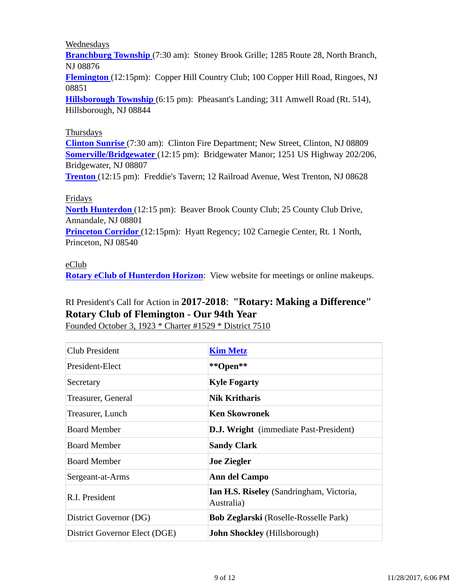#### Wednesdays

**Branchburg Township** (7:30 am): Stoney Brook Grille; 1285 Route 28, North Branch, NJ 08876

**Flemington** (12:15pm): Copper Hill Country Club; 100 Copper Hill Road, Ringoes, NJ 08851

**Hillsborough Township** (6:15 pm): Pheasant's Landing; 311 Amwell Road (Rt. 514), Hillsborough, NJ 08844

#### Thursdays

**Clinton Sunrise** (7:30 am): Clinton Fire Department; New Street, Clinton, NJ 08809 **Somerville/Bridgewater** (12:15 pm): Bridgewater Manor; 1251 US Highway 202/206, Bridgewater, NJ 08807

**Trenton** (12:15 pm): Freddie's Tavern; 12 Railroad Avenue, West Trenton, NJ 08628

#### Fridays

**North Hunterdon** (12:15 pm): Beaver Brook County Club; 25 County Club Drive, Annandale, NJ 08801

**Princeton Corridor** (12:15pm): Hyatt Regency; 102 Carnegie Center, Rt. 1 North, Princeton, NJ 08540

#### eClub

**Rotary eClub of Hunterdon Horizon**: View website for meetings or online makeups.

# RI President's Call for Action in **2017-2018**: **"Rotary: Making a Difference" Rotary Club of Flemington - Our 94th Year**

Founded October 3, 1923 \* Charter #1529 \* District 7510

| <b>Club President</b>         | <b>Kim Metz</b>                                        |
|-------------------------------|--------------------------------------------------------|
| President-Elect               | **Open**                                               |
| Secretary                     | <b>Kyle Fogarty</b>                                    |
| Treasurer, General            | <b>Nik Kritharis</b>                                   |
| Treasurer, Lunch              | <b>Ken Skowronek</b>                                   |
| <b>Board Member</b>           | <b>D.J. Wright</b> (immediate Past-President)          |
| <b>Board Member</b>           | <b>Sandy Clark</b>                                     |
| <b>Board Member</b>           | <b>Joe Ziegler</b>                                     |
| Sergeant-at-Arms              | Ann del Campo                                          |
| R.I. President                | Ian H.S. Riseley (Sandringham, Victoria,<br>Australia) |
| District Governor (DG)        | <b>Bob Zeglarski</b> (Roselle-Rosselle Park)           |
| District Governor Elect (DGE) | <b>John Shockley</b> (Hillsborough)                    |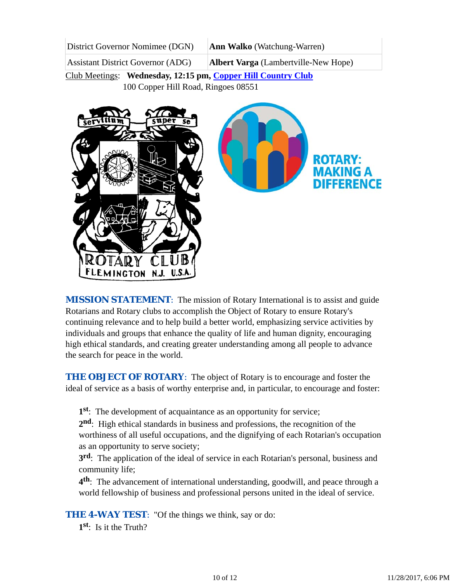| District Governor Nomimee (DGN) | <b>Ann Walko</b> (Watchung-Warren) |
|---------------------------------|------------------------------------|
|                                 |                                    |

Assistant District Governor (ADG) **Albert Varga** (Lambertville-New Hope)

Club Meetings: **Wednesday, 12:15 pm, Copper Hill Country Club** 100 Copper Hill Road, Ringoes 08551



*MISSION STATEMENT*: The mission of Rotary International is to assist and guide Rotarians and Rotary clubs to accomplish the Object of Rotary to ensure Rotary's continuing relevance and to help build a better world, emphasizing service activities by individuals and groups that enhance the quality of life and human dignity, encouraging high ethical standards, and creating greater understanding among all people to advance the search for peace in the world.

**THE OBJECT OF ROTARY:** The object of Rotary is to encourage and foster the ideal of service as a basis of worthy enterprise and, in particular, to encourage and foster:

**1st**: The development of acquaintance as an opportunity for service;

**2nd**: High ethical standards in business and professions, the recognition of the worthiness of all useful occupations, and the dignifying of each Rotarian's occupation as an opportunity to serve society;

**3rd**: The application of the ideal of service in each Rotarian's personal, business and community life;

**4th**: The advancement of international understanding, goodwill, and peace through a world fellowship of business and professional persons united in the ideal of service.

**THE 4-WAY TEST:** "Of the things we think, say or do:

**1st**: Is it the Truth?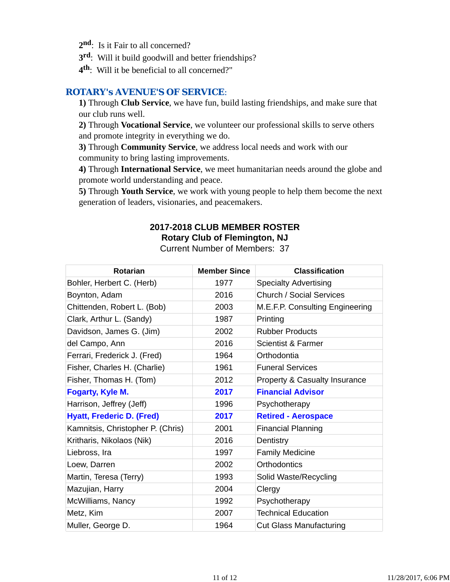- 2<sup>nd</sup>: Is it Fair to all concerned?
- **3rd**: Will it build goodwill and better friendships?
- **4th**: Will it be beneficial to all concerned?"

#### *ROTARY's AVENUE'S OF SERVICE*:

**1)** Through **Club Service**, we have fun, build lasting friendships, and make sure that our club runs well.

**2)** Through **Vocational Service**, we volunteer our professional skills to serve others and promote integrity in everything we do.

**3)** Through **Community Service**, we address local needs and work with our community to bring lasting improvements.

**4)** Through **International Service**, we meet humanitarian needs around the globe and promote world understanding and peace.

**5)** Through **Youth Service**, we work with young people to help them become the next generation of leaders, visionaries, and peacemakers.

# **2017-2018 CLUB MEMBER ROSTER Rotary Club of Flemington, NJ**

Current Number of Members: 37

| <b>Rotarian</b>                   | <b>Member Since</b> | <b>Classification</b>           |
|-----------------------------------|---------------------|---------------------------------|
| Bohler, Herbert C. (Herb)         | 1977                | <b>Specialty Advertising</b>    |
| Boynton, Adam                     | 2016                | <b>Church / Social Services</b> |
| Chittenden, Robert L. (Bob)       | 2003                | M.E.F.P. Consulting Engineering |
| Clark, Arthur L. (Sandy)          | 1987                | Printing                        |
| Davidson, James G. (Jim)          | 2002                | <b>Rubber Products</b>          |
| del Campo, Ann                    | 2016                | <b>Scientist &amp; Farmer</b>   |
| Ferrari, Frederick J. (Fred)      | 1964                | Orthodontia                     |
| Fisher, Charles H. (Charlie)      | 1961                | <b>Funeral Services</b>         |
| Fisher, Thomas H. (Tom)           | 2012                | Property & Casualty Insurance   |
| Fogarty, Kyle M.                  | 2017                | <b>Financial Advisor</b>        |
| Harrison, Jeffrey (Jeff)          | 1996                | Psychotherapy                   |
| <b>Hyatt, Frederic D. (Fred)</b>  | 2017                | <b>Retired - Aerospace</b>      |
| Kamnitsis, Christopher P. (Chris) | 2001                | <b>Financial Planning</b>       |
| Kritharis, Nikolaos (Nik)         | 2016                | Dentistry                       |
| Liebross, Ira                     | 1997                | <b>Family Medicine</b>          |
| Loew, Darren                      | 2002                | Orthodontics                    |
| Martin, Teresa (Terry)            | 1993                | Solid Waste/Recycling           |
| Mazujian, Harry                   | 2004                | Clergy                          |
| McWilliams, Nancy                 | 1992                | Psychotherapy                   |
| Metz, Kim                         | 2007                | <b>Technical Education</b>      |
| Muller, George D.                 | 1964                | <b>Cut Glass Manufacturing</b>  |